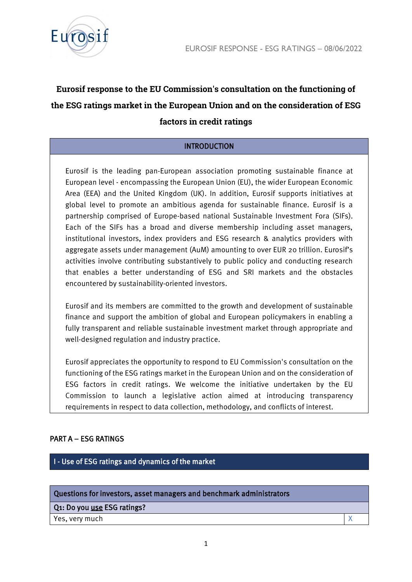

# **Eurosif response to the EU Commission's consultation on the functioning of the ESG ratings market in the European Union and on the consideration of ESG factors in credit ratings**

# INTRODUCTION

Eurosif is the leading pan-European association promoting sustainable finance at European level - encompassing the European Union (EU), the wider European Economic Area (EEA) and the United Kingdom (UK). In addition, Eurosif supports initiatives at global level to promote an ambitious agenda for sustainable finance. Eurosif is a partnership comprised of Europe-based national Sustainable Investment Fora (SIFs). Each of the SIFs has a broad and diverse membership including asset managers, institutional investors, index providers and ESG research & analytics providers with aggregate assets under management (AuM) amounting to over EUR 20 trillion. Eurosif's activities involve contributing substantively to public policy and conducting research that enables a better understanding of ESG and SRI markets and the obstacles encountered by sustainability-oriented investors.

Eurosif and its members are committed to the growth and development of sustainable finance and support the ambition of global and European policymakers in enabling a fully transparent and reliable sustainable investment market through appropriate and well-designed regulation and industry practice.

Eurosif appreciates the opportunity to respond to EU Commission's consultation on the functioning of the ESG ratings market in the European Union and on the consideration of ESG factors in credit ratings. We welcome the initiative undertaken by the EU Commission to launch a legislative action aimed at introducing transparency requirements in respect to data collection, methodology, and conflicts of interest.

## PART A – ESG RATINGS

I - Use of ESG ratings and dynamics of the market

#### Questions for investors, asset managers and benchmark administrators

Q1: Do you use ESG ratings?

Yes, very much X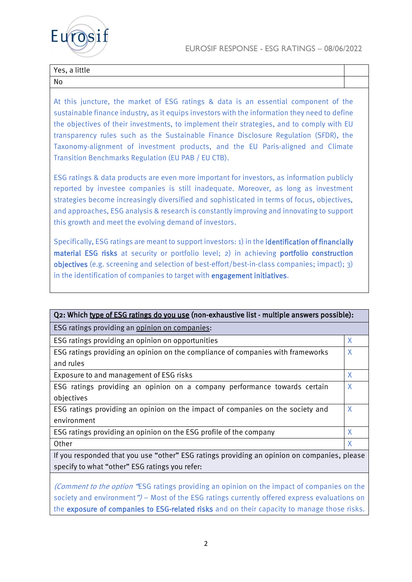

| Yes, a little |  |
|---------------|--|
| No            |  |

At this juncture, the market of ESG ratings & data is an essential component of the sustainable finance industry, as it equips investors with the information they need to define the objectives of their investments, to implement their strategies, and to comply with EU transparency rules such as the Sustainable Finance Disclosure Regulation (SFDR), the Taxonomy-alignment of investment products, and the EU Paris-aligned and Climate Transition Benchmarks Regulation (EU PAB / EU CTB).

ESG ratings & data products are even more important for investors, as information publicly reported by investee companies is still inadequate. Moreover, as long as investment strategies become increasingly diversified and sophisticated in terms of focus, objectives, and approaches, ESG analysis & research is constantly improving and innovating to support this growth and meet the evolving demand of investors.

Specifically, ESG ratings are meant to support investors: 1) in the identification of financially material ESG risks at security or portfolio level; 2) in achieving portfolio construction objectives (e.g. screening and selection of best-effort/best-in-class companies; impact); 3) in the identification of companies to target with engagement initiatives.

| Q2: Which type of ESG ratings do you use (non-exhaustive list - multiple answers possible): |   |  |
|---------------------------------------------------------------------------------------------|---|--|
| ESG ratings providing an opinion on companies:                                              |   |  |
| ESG ratings providing an opinion on opportunities                                           | X |  |
| ESG ratings providing an opinion on the compliance of companies with frameworks             | X |  |
| and rules                                                                                   |   |  |
| Exposure to and management of ESG risks                                                     | X |  |
| ESG ratings providing an opinion on a company performance towards certain                   | X |  |
| objectives                                                                                  |   |  |
| ESG ratings providing an opinion on the impact of companies on the society and              | X |  |
| environment                                                                                 |   |  |
| ESG ratings providing an opinion on the ESG profile of the company                          | X |  |
| Other                                                                                       | X |  |
| If you responded that you use "other" ESG ratings providing an opinion on companies, please |   |  |
| specify to what "other" ESG ratings you refer:                                              |   |  |

(Comment to the option "ESG ratings providing an opinion on the impact of companies on the society and environment") – Most of the ESG ratings currently offered express evaluations on the exposure of companies to ESG-related risks and on their capacity to manage those risks.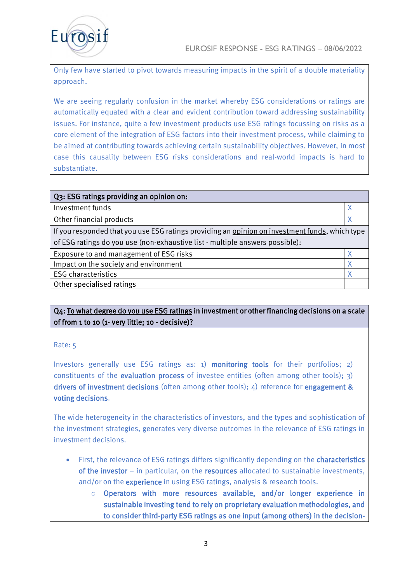

Only few have started to pivot towards measuring impacts in the spirit of a double materiality approach.

We are seeing regularly confusion in the market whereby ESG considerations or ratings are automatically equated with a clear and evident contribution toward addressing sustainability issues. For instance, quite a few investment products use ESG ratings focussing on risks as a core element of the integration of ESG factors into their investment process, while claiming to be aimed at contributing towards achieving certain sustainability objectives. However, in most case this causality between ESG risks considerations and real-world impacts is hard to substantiate.

| Q3: ESG ratings providing an opinion on:                                                       |   |
|------------------------------------------------------------------------------------------------|---|
| Investment funds                                                                               | Χ |
| Other financial products                                                                       | X |
| If you responded that you use ESG ratings providing an opinion on investment funds, which type |   |
| of ESG ratings do you use (non-exhaustive list - multiple answers possible):                   |   |
| Exposure to and management of ESG risks                                                        | X |
| Impact on the society and environment                                                          | X |
| <b>ESG</b> characteristics                                                                     | Χ |
| Other specialised ratings                                                                      |   |

# Q4: To what degree do you use ESG ratings in investment or other financing decisions on a scale of from 1 to 10 (1- very little; 10 - decisive)?

Rate: 5

Investors generally use ESG ratings as:  $1)$  monitoring tools for their portfolios;  $2)$ constituents of the **evaluation process** of investee entities (often among other tools);  $3$ ) drivers of investment decisions (often among other tools);  $4$ ) reference for engagement & voting decisions.

The wide heterogeneity in the characteristics of investors, and the types and sophistication of the investment strategies, generates very diverse outcomes in the relevance of ESG ratings in investment decisions.

- First, the relevance of ESG ratings differs significantly depending on the **characteristics** of the investor – in particular, on the resources allocated to sustainable investments, and/or on the **experience** in using ESG ratings, analysis & research tools.
	- o Operators with more resources available, and/or longer experience in sustainable investing tend to rely on proprietary evaluation methodologies, and to consider third-party ESG ratings as one input (among others) in the decision-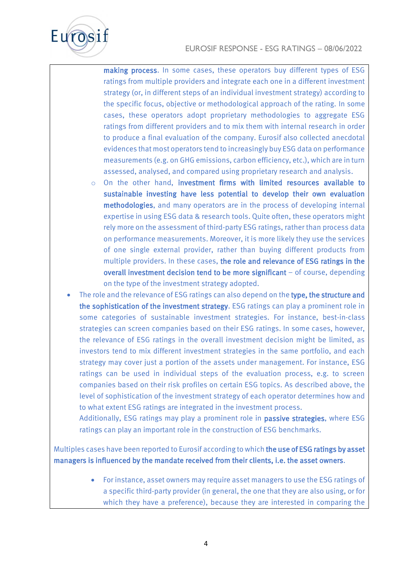

making process. In some cases, these operators buy different types of ESG ratings from multiple providers and integrate each one in a different investment strategy (or, in different steps of an individual investment strategy) according to the specific focus, objective or methodological approach of the rating. In some cases, these operators adopt proprietary methodologies to aggregate ESG ratings from different providers and to mix them with internal research in order to produce a final evaluation of the company. Eurosif also collected anecdotal evidences that most operators tend to increasingly buy ESG data on performance measurements (e.g. on GHG emissions, carbon efficiency, etc.), which are in turn assessed, analysed, and compared using proprietary research and analysis.

- $\circ$  On the other hand, investment firms with limited resources available to sustainable investing have less potential to develop their own evaluation methodologies, and many operators are in the process of developing internal expertise in using ESG data & research tools. Quite often, these operators might rely more on the assessment of third-party ESG ratings, rather than process data on performance measurements. Moreover, it is more likely they use the services of one single external provider, rather than buying different products from multiple providers. In these cases, the role and relevance of ESG ratings in the overall investment decision tend to be more significant – of course, depending on the type of the investment strategy adopted.
- The role and the relevance of ESG ratings can also depend on the type, the structure and the sophistication of the investment strategy. ESG ratings can play a prominent role in some categories of sustainable investment strategies. For instance, best-in-class strategies can screen companies based on their ESG ratings. In some cases, however, the relevance of ESG ratings in the overall investment decision might be limited, as investors tend to mix different investment strategies in the same portfolio, and each strategy may cover just a portion of the assets under management. For instance, ESG ratings can be used in individual steps of the evaluation process, e.g. to screen companies based on their risk profiles on certain ESG topics. As described above, the level of sophistication of the investment strategy of each operator determines how and to what extent ESG ratings are integrated in the investment process.

Additionally, ESG ratings may play a prominent role in passive strategies, where ESG ratings can play an important role in the construction of ESG benchmarks.

Multiples cases have been reported to Eurosif according to which the use of ESG ratings by asset managers is influenced by the mandate received from their clients, i.e. the asset owners.

> • For instance, asset owners may require asset managers to use the ESG ratings of a specific third-party provider (in general, the one that they are also using, or for which they have a preference), because they are interested in comparing the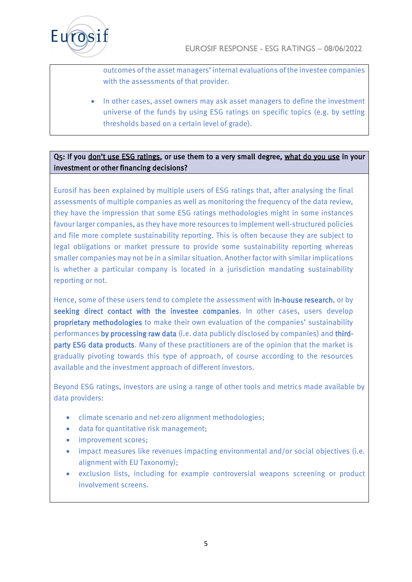

outcomes of the asset managers' internal evaluations of the investee companies with the assessments of that provider.

• In other cases, asset owners may ask asset managers to define the investment universe of the funds by using ESG ratings on specific topics (e.g. by setting thresholds based on a certain level of grade).

# Q5: If you don't use ESG ratings, or use them to a very small degree, what do you use in your investment or other financing decisions?

Eurosif has been explained by multiple users of ESG ratings that, after analysing the final assessments of multiple companies as well as monitoring the frequency of the data review, they have the impression that some ESG ratings methodologies might in some instances favour larger companies, as they have more resources to implement well-structured policies and file more complete sustainability reporting. This is often because they are subject to legal obligations or market pressure to provide some sustainability reporting whereas smaller companies may not be in a similar situation. Another factor with similar implications is whether a particular company is located in a jurisdiction mandating sustainability reporting or not.

Hence, some of these users tend to complete the assessment with in-house research, or by seeking direct contact with the investee companies. In other cases, users develop proprietary methodologies to make their own evaluation of the companies' sustainability performances by processing raw data (i.e. data publicly disclosed by companies) and thirdparty ESG data products. Many of these practitioners are of the opinion that the market is gradually pivoting towards this type of approach, of course according to the resources available and the investment approach of different investors.

Beyond ESG ratings, investors are using a range of other tools and metrics made available by data providers:

- climate scenario and net-zero alignment methodologies;
- data for quantitative risk management;
- improvement scores;
- impact measures like revenues impacting environmental and/or social objectives (i.e. alignment with EU Taxonomy);
- exclusion lists, including for example controversial weapons screening or product involvement screens.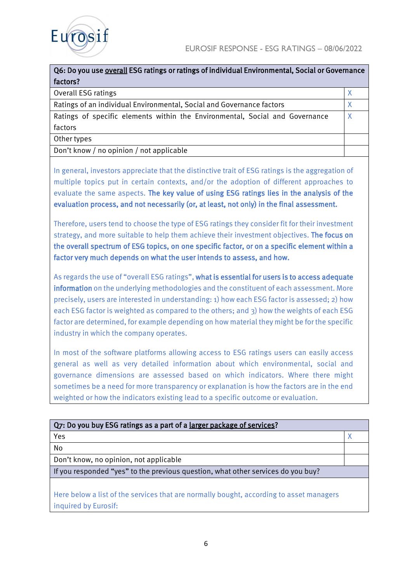



| Q6: Do you use overall ESG ratings or ratings of individual Environmental, Social or Governance |   |
|-------------------------------------------------------------------------------------------------|---|
| factors?                                                                                        |   |
| Overall ESG ratings                                                                             |   |
| Ratings of an individual Environmental, Social and Governance factors                           | X |
| Ratings of specific elements within the Environmental, Social and Governance                    | X |
| factors                                                                                         |   |
| Other types                                                                                     |   |
| Don't know / no opinion / not applicable                                                        |   |

In general, investors appreciate that the distinctive trait of ESG ratings is the aggregation of multiple topics put in certain contexts, and/or the adoption of different approaches to evaluate the same aspects. The key value of using ESG ratings lies in the analysis of the evaluation process, and not necessarily (or, at least, not only) in the final assessment.

Therefore, users tend to choose the type of ESG ratings they consider fit for their investment strategy, and more suitable to help them achieve their investment objectives. The focus on the overall spectrum of ESG topics, on one specific factor, or on a specific element within a factor very much depends on what the user intends to assess, and how.

As regards the use of "overall ESG ratings", what is essential for users is to access adequate information on the underlying methodologies and the constituent of each assessment. More precisely, users are interested in understanding: 1) how each ESG factor is assessed; 2) how each ESG factor is weighted as compared to the others; and 3) how the weights of each ESG factor are determined, for example depending on how material they might be for the specific industry in which the company operates.

In most of the software platforms allowing access to ESG ratings users can easily access general as well as very detailed information about which environmental, social and governance dimensions are assessed based on which indicators. Where there might sometimes be a need for more transparency or explanation is how the factors are in the end weighted or how the indicators existing lead to a specific outcome or evaluation.

| Q7: Do you buy ESG ratings as a part of a larger package of services?                                           |  |
|-----------------------------------------------------------------------------------------------------------------|--|
| Yes                                                                                                             |  |
| No                                                                                                              |  |
| Don't know, no opinion, not applicable                                                                          |  |
| If you responded "yes" to the previous question, what other services do you buy?                                |  |
| Here below a list of the services that are normally bought, according to asset managers<br>inquired by Eurosif: |  |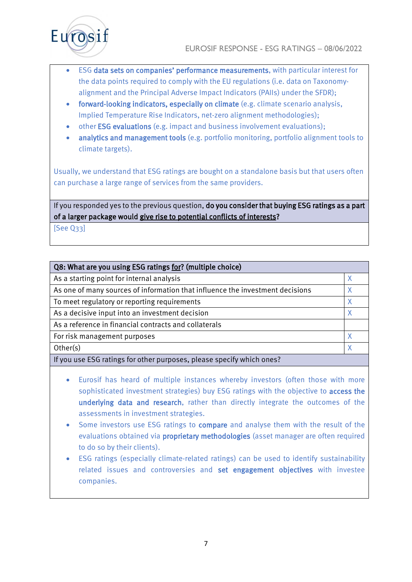

- ESG data sets on companies' performance measurements, with particular interest for the data points required to comply with the EU regulations (i.e. data on Taxonomyalignment and the Principal Adverse Impact Indicators (PAIIs) under the SFDR);
- forward-looking indicators, especially on climate (e.g. climate scenario analysis, Implied Temperature Rise Indicators, net-zero alignment methodologies);
- other **ESG evaluations** (e.g. impact and business involvement evaluations);
- analytics and management tools (e.g. portfolio monitoring, portfolio alignment tools to climate targets).

Usually, we understand that ESG ratings are bought on a standalone basis but that users often can purchase a large range of services from the same providers.

If you responded yes to the previous question, do you consider that buying ESG ratings as a part of a larger package would give rise to potential conflicts of interests?

[See Q33]

| Q8: What are you using ESG ratings for? (multiple choice)                     |   |
|-------------------------------------------------------------------------------|---|
| As a starting point for internal analysis                                     |   |
| As one of many sources of information that influence the investment decisions | X |
| To meet regulatory or reporting requirements                                  |   |
| As a decisive input into an investment decision                               |   |
| As a reference in financial contracts and collaterals                         |   |
| For risk management purposes                                                  | X |
| Other(s)                                                                      | X |
| If you use ESG ratings for other purposes, please specify which ones?         |   |

- Eurosif has heard of multiple instances whereby investors (often those with more sophisticated investment strategies) buy ESG ratings with the objective to access the underlying data and research, rather than directly integrate the outcomes of the assessments in investment strategies.
- Some investors use ESG ratings to compare and analyse them with the result of the evaluations obtained via proprietary methodologies (asset manager are often required to do so by their clients).
- ESG ratings (especially climate-related ratings) can be used to identify sustainability related issues and controversies and set engagement objectives with investee companies.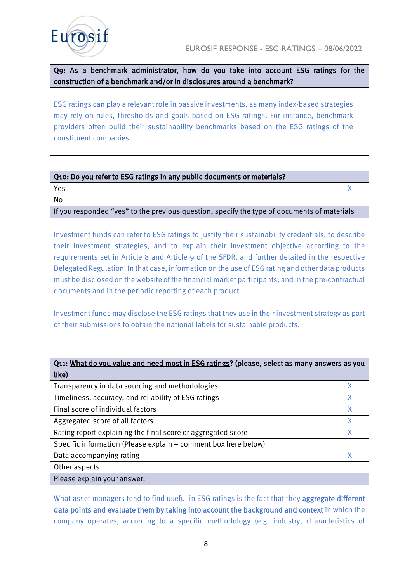

Q9: As a benchmark administrator, how do you take into account ESG ratings for the construction of a benchmark and/or in disclosures around a benchmark?

ESG ratings can play a relevant role in passive investments, as many index-based strategies may rely on rules, thresholds and goals based on ESG ratings. For instance, benchmark providers often build their sustainability benchmarks based on the ESG ratings of the constituent companies.

## Q10: Do you refer to ESG ratings in any public documents or materials?

 $Yes$  and  $X$ 

No

If you responded "yes" to the previous question, specify the type of documents of materials

Investment funds can refer to ESG ratings to justify their sustainability credentials, to describe their investment strategies, and to explain their investment objective according to the requirements set in Article 8 and Article 9 of the SFDR, and further detailed in the respective Delegated Regulation. In that case, information on the use of ESG rating and other data products must be disclosed on the website of the financial market participants, and in the pre-contractual documents and in the periodic reporting of each product.

Investment funds may disclose the ESG ratings that they use in their investment strategy as part of their submissions to obtain the national labels for sustainable products.

Q11: What do you value and need most in ESG ratings? (please, select as many answers as you

| like)                                                          |   |
|----------------------------------------------------------------|---|
| Transparency in data sourcing and methodologies                | Χ |
| Timeliness, accuracy, and reliability of ESG ratings           | Χ |
| Final score of individual factors                              | X |
| Aggregated score of all factors                                | X |
| Rating report explaining the final score or aggregated score   | X |
| Specific information (Please explain - comment box here below) |   |
| Data accompanying rating                                       | Χ |
| Other aspects                                                  |   |
| Please explain your answer:                                    |   |

What asset managers tend to find useful in ESG ratings is the fact that they aggregate different data points and evaluate them by taking into account the background and context in which the company operates, according to a specific methodology (e.g. industry, characteristics of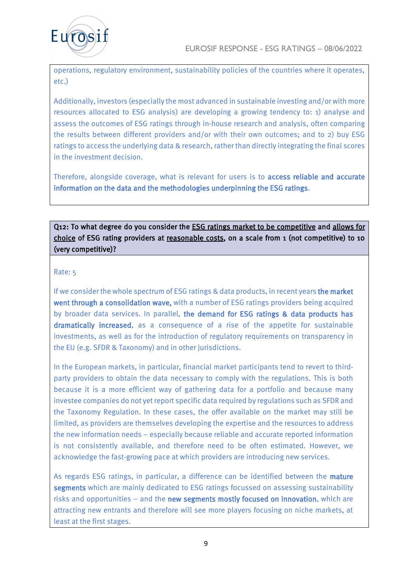

operations, regulatory environment, sustainability policies of the countries where it operates, etc.)

Additionally, investors (especially the most advanced in sustainable investing and/or with more resources allocated to ESG analysis) are developing a growing tendency to: 1) analyse and assess the outcomes of ESG ratings through in-house research and analysis, often comparing the results between different providers and/or with their own outcomes; and to 2) buy ESG ratings to access the underlying data & research, rather than directly integrating the final scores in the investment decision.

Therefore, alongside coverage, what is relevant for users is to **access reliable and accurate** information on the data and the methodologies underpinning the ESG ratings.

Q12: To what degree do you consider the ESG ratings market to be competitive and allows for choice of ESG rating providers at reasonable costs, on a scale from 1 (not competitive) to 10 (very competitive)?

#### Rate: 5

If we consider the whole spectrum of ESG ratings & data products, in recent years the market went through a consolidation wave, with a number of ESG ratings providers being acquired by broader data services. In parallel, the demand for ESG ratings & data products has dramatically increased, as a consequence of a rise of the appetite for sustainable investments, as well as for the introduction of regulatory requirements on transparency in the EU (e.g. SFDR & Taxonomy) and in other jurisdictions.

In the European markets, in particular, financial market participants tend to revert to thirdparty providers to obtain the data necessary to comply with the regulations. This is both because it is a more efficient way of gathering data for a portfolio and because many investee companies do not yet report specific data required by regulations such as SFDR and the Taxonomy Regulation. In these cases, the offer available on the market may still be limited, as providers are themselves developing the expertise and the resources to address the new information needs – especially because reliable and accurate reported information is not consistently available, and therefore need to be often estimated. However, we acknowledge the fast-growing pace at which providers are introducing new services.

As regards ESG ratings, in particular, a difference can be identified between the mature segments which are mainly dedicated to ESG ratings focussed on assessing sustainability risks and opportunities – and the new segments mostly focused on innovation, which are attracting new entrants and therefore will see more players focusing on niche markets, at least at the first stages.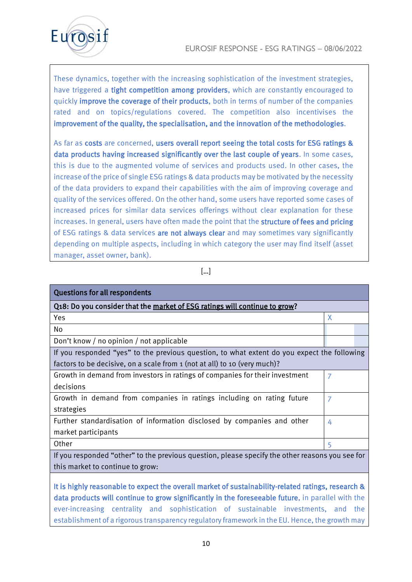

These dynamics, together with the increasing sophistication of the investment strategies, have triggered a tight competition among providers, which are constantly encouraged to quickly improve the coverage of their products, both in terms of number of the companies rated and on topics/regulations covered. The competition also incentivises the improvement of the quality, the specialisation, and the innovation of the methodologies.

As far as costs are concerned, users overall report seeing the total costs for ESG ratings & data products having increased significantly over the last couple of years. In some cases, this is due to the augmented volume of services and products used. In other cases, the increase of the price of single ESG ratings & data products may be motivated by the necessity of the data providers to expand their capabilities with the aim of improving coverage and quality of the services offered. On the other hand, some users have reported some cases of increased prices for similar data services offerings without clear explanation for these increases. In general, users have often made the point that the structure of fees and pricing of ESG ratings & data services are not always clear and may sometimes vary significantly depending on multiple aspects, including in which category the user may find itself (asset manager, asset owner, bank).

#### […]

| <b>Questions for all respondents</b>                                                            |   |  |
|-------------------------------------------------------------------------------------------------|---|--|
| Q18: Do you consider that the market of ESG ratings will continue to grow?                      |   |  |
| Yes                                                                                             | X |  |
| No                                                                                              |   |  |
| Don't know / no opinion / not applicable                                                        |   |  |
| If you responded "yes" to the previous question, to what extent do you expect the following     |   |  |
| factors to be decisive, on a scale from 1 (not at all) to 10 (very much)?                       |   |  |
| Growth in demand from investors in ratings of companies for their investment                    | 7 |  |
| decisions                                                                                       |   |  |
| Growth in demand from companies in ratings including on rating future                           | 7 |  |
| strategies                                                                                      |   |  |
| Further standardisation of information disclosed by companies and other                         | 4 |  |
| market participants                                                                             |   |  |
| Other                                                                                           | 5 |  |
| If you responded "other" to the previous question, please specify the other reasons you see for |   |  |

this market to continue to grow:

It is highly reasonable to expect the overall market of sustainability-related ratings, research & data products will continue to grow significantly in the foreseeable future, in parallel with the ever-increasing centrality and sophistication of sustainable investments, and the establishment of a rigorous transparency regulatory framework in the EU. Hence, the growth may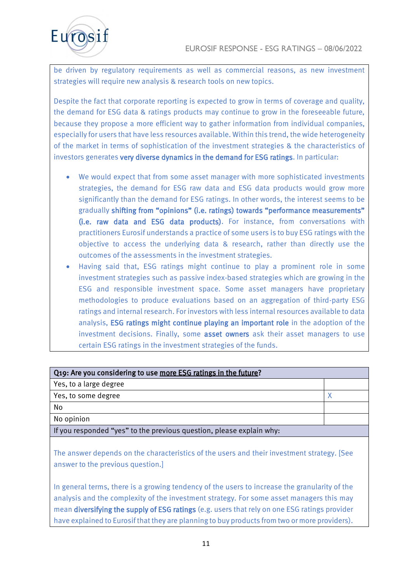

be driven by regulatory requirements as well as commercial reasons, as new investment strategies will require new analysis & research tools on new topics.

Despite the fact that corporate reporting is expected to grow in terms of coverage and quality, the demand for ESG data & ratings products may continue to grow in the foreseeable future, because they propose a more efficient way to gather information from individual companies, especially for users that have less resources available. Within this trend, the wide heterogeneity of the market in terms of sophistication of the investment strategies & the characteristics of investors generates very diverse dynamics in the demand for ESG ratings. In particular:

- We would expect that from some asset manager with more sophisticated investments strategies, the demand for ESG raw data and ESG data products would grow more significantly than the demand for ESG ratings. In other words, the interest seems to be gradually shifting from "opinions" (i.e. ratings) towards "performance measurements" (i.e. raw data and ESG data products). For instance, from conversations with practitioners Eurosif understands a practice of some users is to buy ESG ratings with the objective to access the underlying data & research, rather than directly use the outcomes of the assessments in the investment strategies.
- Having said that, ESG ratings might continue to play a prominent role in some investment strategies such as passive index-based strategies which are growing in the ESG and responsible investment space. Some asset managers have proprietary methodologies to produce evaluations based on an aggregation of third-party ESG ratings and internal research. For investors with less internal resources available to data analysis, ESG ratings might continue playing an important role in the adoption of the investment decisions. Finally, some asset owners ask their asset managers to use certain ESG ratings in the investment strategies of the funds.

| Q19: Are you considering to use more ESG ratings in the future?      |  |  |
|----------------------------------------------------------------------|--|--|
| Yes, to a large degree                                               |  |  |
| Yes, to some degree                                                  |  |  |
| No                                                                   |  |  |
| No opinion                                                           |  |  |
| If you responded "yes" to the previous question, please explain why: |  |  |

The answer depends on the characteristics of the users and their investment strategy. [See answer to the previous question.]

In general terms, there is a growing tendency of the users to increase the granularity of the analysis and the complexity of the investment strategy. For some asset managers this may mean **diversifying the supply of ESG ratings** (e.g. users that rely on one ESG ratings provider have explained to Eurosif that they are planning to buy products from two or more providers).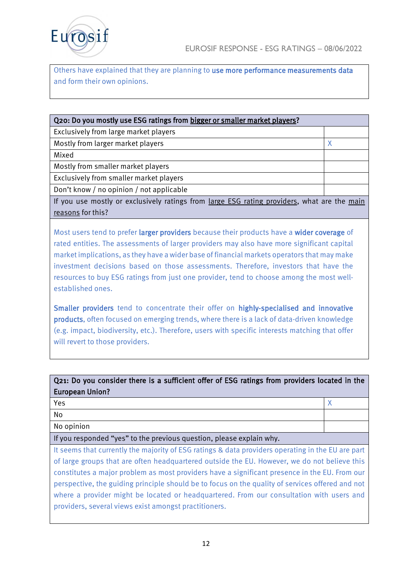



Others have explained that they are planning to use more performance measurements data and form their own opinions.

| Q20: Do you mostly use ESG ratings from bigger or smaller market players?                   |   |  |
|---------------------------------------------------------------------------------------------|---|--|
| Exclusively from large market players                                                       |   |  |
| Mostly from larger market players                                                           | χ |  |
| Mixed                                                                                       |   |  |
| Mostly from smaller market players                                                          |   |  |
| Exclusively from smaller market players                                                     |   |  |
| Don't know / no opinion / not applicable                                                    |   |  |
| If you use mostly or exclusively ratings from large ESG rating providers, what are the main |   |  |

If you use mostly or exclusively ratings from large ESG rating providers, what are the main reasons for this?

Most users tend to prefer larger providers because their products have a wider coverage of rated entities. The assessments of larger providers may also have more significant capital market implications, as they have a wider base of financial markets operators that may make investment decisions based on those assessments. Therefore, investors that have the resources to buy ESG ratings from just one provider, tend to choose among the most wellestablished ones.

Smaller providers tend to concentrate their offer on highly-specialised and innovative products, often focused on emerging trends, where there is a lack of data-driven knowledge (e.g. impact, biodiversity, etc.). Therefore, users with specific interests matching that offer will revert to those providers.

| Q21: Do you consider there is a sufficient offer of ESG ratings from providers located in the |  |  |
|-----------------------------------------------------------------------------------------------|--|--|
| <b>European Union?</b>                                                                        |  |  |

| Yes                                                                  |  |
|----------------------------------------------------------------------|--|
| No                                                                   |  |
| No opinion                                                           |  |
| If you responded "yes" to the previous question, please explain why. |  |

It seems that currently the majority of ESG ratings & data providers operating in the EU are part of large groups that are often headquartered outside the EU. However, we do not believe this constitutes a major problem as most providers have a significant presence in the EU. From our perspective, the guiding principle should be to focus on the quality of services offered and not where a provider might be located or headquartered. From our consultation with users and providers, several views exist amongst practitioners.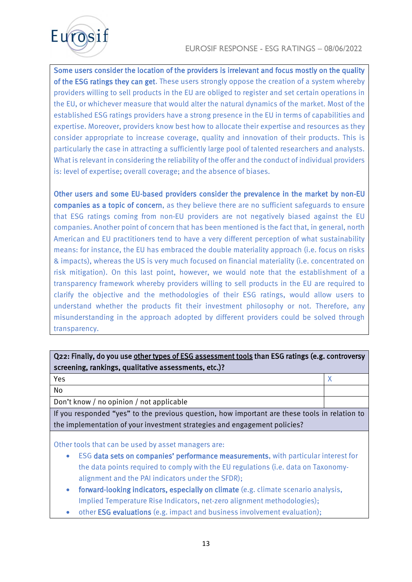

Some users consider the location of the providers is irrelevant and focus mostly on the quality of the ESG ratings they can get. These users strongly oppose the creation of a system whereby providers willing to sell products in the EU are obliged to register and set certain operations in the EU, or whichever measure that would alter the natural dynamics of the market. Most of the established ESG ratings providers have a strong presence in the EU in terms of capabilities and expertise. Moreover, providers know best how to allocate their expertise and resources as they consider appropriate to increase coverage, quality and innovation of their products. This is particularly the case in attracting a sufficiently large pool of talented researchers and analysts. What is relevant in considering the reliability of the offer and the conduct of individual providers is: level of expertise; overall coverage; and the absence of biases.

Other users and some EU-based providers consider the prevalence in the market by non-EU companies as a topic of concern, as they believe there are no sufficient safeguards to ensure that ESG ratings coming from non-EU providers are not negatively biased against the EU companies. Another point of concern that has been mentioned is the fact that, in general, north American and EU practitioners tend to have a very different perception of what sustainability means: for instance, the EU has embraced the double materiality approach (i.e. focus on risks & impacts), whereas the US is very much focused on financial materiality (i.e. concentrated on risk mitigation). On this last point, however, we would note that the establishment of a transparency framework whereby providers willing to sell products in the EU are required to clarify the objective and the methodologies of their ESG ratings, would allow users to understand whether the products fit their investment philosophy or not. Therefore, any misunderstanding in the approach adopted by different providers could be solved through transparency.

# Q22: Finally, do you use other types of ESG assessment tools than ESG ratings (e.g. controversy screening, rankings, qualitative assessments, etc.)?

 $Yes$  and  $X$ 

No

Don't know / no opinion / not applicable

If you responded "yes" to the previous question, how important are these tools in relation to the implementation of your investment strategies and engagement policies?

Other tools that can be used by asset managers are:

- ESG data sets on companies' performance measurements, with particular interest for the data points required to comply with the EU regulations (i.e. data on Taxonomyalignment and the PAI indicators under the SFDR);
- forward-looking indicators, especially on climate (e.g. climate scenario analysis, Implied Temperature Rise Indicators, net-zero alignment methodologies);
- other ESG evaluations (e.g. impact and business involvement evaluation);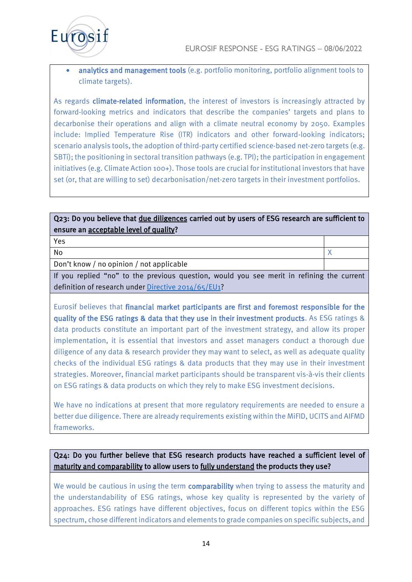

analytics and management tools (e.g. portfolio monitoring, portfolio alignment tools to climate targets).

As regards climate-related information, the interest of investors is increasingly attracted by forward-looking metrics and indicators that describe the companies' targets and plans to decarbonise their operations and align with a climate neutral economy by 2050. Examples include: Implied Temperature Rise (ITR) indicators and other forward-looking indicators; scenario analysis tools, the adoption of third-party certified science-based net-zero targets (e.g. SBTi); the positioning in sectoral transition pathways (e.g. TPI); the participation in engagement initiatives (e.g. Climate Action 100+). Those tools are crucial for institutional investors that have set (or, that are willing to set) decarbonisation/net-zero targets in their investment portfolios.

# Q23: Do you believe that due diligences carried out by users of ESG research are sufficient to ensure an acceptable level of quality?

| Yes                                                                                      |  |
|------------------------------------------------------------------------------------------|--|
| No                                                                                       |  |
| Don't know / no opinion / not applicable                                                 |  |
| If you replied "no" to the provisue question would you see movit in refining the current |  |

If you replied "no" to the previous question, would you see merit in refining definition of research under [Directive 2014/65/EU1?](https://eur-lex.europa.eu/legal-content/EN/TXT/?uri=CELEX:32014L0065)

Eurosif believes that financial market participants are first and foremost responsible for the quality of the ESG ratings & data that they use in their investment products. As ESG ratings & data products constitute an important part of the investment strategy, and allow its proper implementation, it is essential that investors and asset managers conduct a thorough due diligence of any data & research provider they may want to select, as well as adequate quality checks of the individual ESG ratings & data products that they may use in their investment strategies. Moreover, financial market participants should be transparent vis-à-vis their clients on ESG ratings & data products on which they rely to make ESG investment decisions.

We have no indications at present that more regulatory requirements are needed to ensure a better due diligence. There are already requirements existing within the MiFID, UCITS and AIFMD frameworks.

# Q24: Do you further believe that ESG research products have reached a sufficient level of maturity and comparability to allow users to fully understand the products they use?

We would be cautious in using the term comparability when trying to assess the maturity and the understandability of ESG ratings, whose key quality is represented by the variety of approaches. ESG ratings have different objectives, focus on different topics within the ESG spectrum, chose different indicators and elements to grade companies on specific subjects, and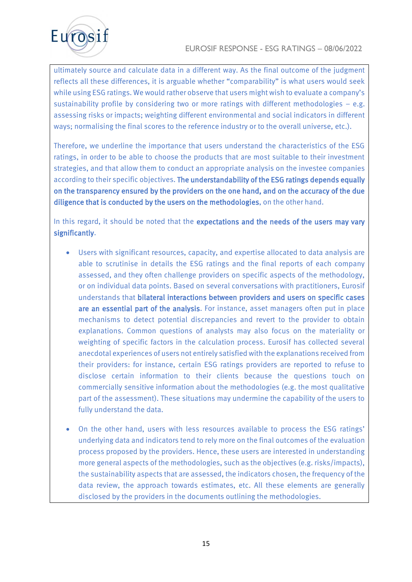# EUROSIF RESPONSE - ESG RATINGS – 08/06/2022



ultimately source and calculate data in a different way. As the final outcome of the judgment reflects all these differences, it is arguable whether "comparability" is what users would seek while using ESG ratings. We would rather observe that users might wish to evaluate a company's sustainability profile by considering two or more ratings with different methodologies  $-$  e.g. assessing risks or impacts; weighting different environmental and social indicators in different ways; normalising the final scores to the reference industry or to the overall universe, etc.).

Therefore, we underline the importance that users understand the characteristics of the ESG ratings, in order to be able to choose the products that are most suitable to their investment strategies, and that allow them to conduct an appropriate analysis on the investee companies according to their specific objectives. The understandability of the ESG ratings depends equally on the transparency ensured by the providers on the one hand, and on the accuracy of the due diligence that is conducted by the users on the methodologies, on the other hand.

In this regard, it should be noted that the expectations and the needs of the users may vary significantly.

- Users with significant resources, capacity, and expertise allocated to data analysis are able to scrutinise in details the ESG ratings and the final reports of each company assessed, and they often challenge providers on specific aspects of the methodology, or on individual data points. Based on several conversations with practitioners, Eurosif understands that bilateral interactions between providers and users on specific cases are an essential part of the analysis. For instance, asset managers often put in place mechanisms to detect potential discrepancies and revert to the provider to obtain explanations. Common questions of analysts may also focus on the materiality or weighting of specific factors in the calculation process. Eurosif has collected several anecdotal experiences of users not entirely satisfied with the explanations received from their providers: for instance, certain ESG ratings providers are reported to refuse to disclose certain information to their clients because the questions touch on commercially sensitive information about the methodologies (e.g. the most qualitative part of the assessment). These situations may undermine the capability of the users to fully understand the data.
- On the other hand, users with less resources available to process the ESG ratings' underlying data and indicators tend to rely more on the final outcomes of the evaluation process proposed by the providers. Hence, these users are interested in understanding more general aspects of the methodologies, such as the objectives (e.g. risks/impacts), the sustainability aspects that are assessed, the indicators chosen, the frequency of the data review, the approach towards estimates, etc. All these elements are generally disclosed by the providers in the documents outlining the methodologies.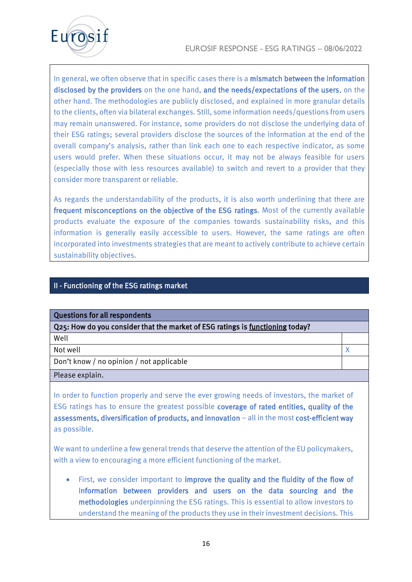

In general, we often observe that in specific cases there is a mismatch between the information disclosed by the providers on the one hand, and the needs/expectations of the users, on the other hand. The methodologies are publicly disclosed, and explained in more granular details to the clients, often via bilateral exchanges. Still, some information needs/questions from users may remain unanswered. For instance, some providers do not disclose the underlying data of their ESG ratings; several providers disclose the sources of the information at the end of the overall company's analysis, rather than link each one to each respective indicator, as some users would prefer. When these situations occur, it may not be always feasible for users (especially those with less resources available) to switch and revert to a provider that they consider more transparent or reliable.

As regards the understandability of the products, it is also worth underlining that there are frequent misconceptions on the objective of the ESG ratings. Most of the currently available products evaluate the exposure of the companies towards sustainability risks, and this information is generally easily accessible to users. However, the same ratings are often incorporated into investments strategies that are meant to actively contribute to achieve certain sustainability objectives.

# II - Functioning of the ESG ratings market

| Questions for all respondents                                                           |  |
|-----------------------------------------------------------------------------------------|--|
| $\sqrt{Q}$ 25: How do you consider that the market of ESG ratings is functioning today? |  |
| Well                                                                                    |  |
| Not well                                                                                |  |
| Don't know / no opinion / not applicable                                                |  |
| Please explain.                                                                         |  |

In order to function properly and serve the ever growing needs of investors, the market of ESG ratings has to ensure the greatest possible coverage of rated entities, quality of the assessments, diversification of products, and innovation – all in the most cost-efficient way as possible.

We want to underline a few general trends that deserve the attention of the EU policymakers, with a view to encouraging a more efficient functioning of the market.

• First, we consider important to improve the quality and the fluidity of the flow of information between providers and users on the data sourcing and the methodologies underpinning the ESG ratings. This is essential to allow investors to understand the meaning of the products they use in their investment decisions. This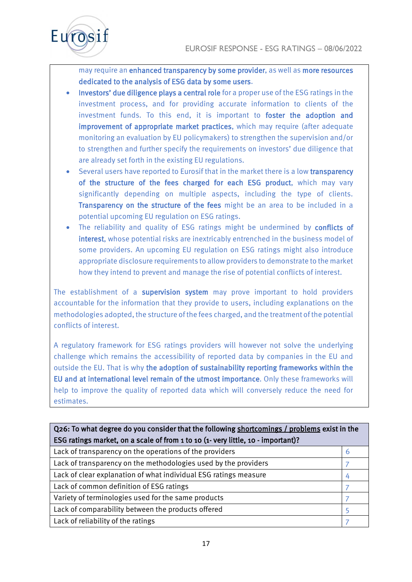

may require an enhanced transparency by some provider, as well as more resources dedicated to the analysis of ESG data by some users.

- Investors' due diligence plays a central role for a proper use of the ESG ratings in the investment process, and for providing accurate information to clients of the investment funds. To this end, it is important to foster the adoption and improvement of appropriate market practices, which may require (after adequate monitoring an evaluation by EU policymakers) to strengthen the supervision and/or to strengthen and further specify the requirements on investors' due diligence that are already set forth in the existing EU regulations.
- Several users have reported to Eurosif that in the market there is a low transparency of the structure of the fees charged for each ESG product, which may vary significantly depending on multiple aspects, including the type of clients. Transparency on the structure of the fees might be an area to be included in a potential upcoming EU regulation on ESG ratings.
- The reliability and quality of ESG ratings might be undermined by conflicts of interest, whose potential risks are inextricably entrenched in the business model of some providers. An upcoming EU regulation on ESG ratings might also introduce appropriate disclosure requirements to allow providers to demonstrate to the market how they intend to prevent and manage the rise of potential conflicts of interest.

The establishment of a supervision system may prove important to hold providers accountable for the information that they provide to users, including explanations on the methodologies adopted, the structure of the fees charged, and the treatment of the potential conflicts of interest.

A regulatory framework for ESG ratings providers will however not solve the underlying challenge which remains the accessibility of reported data by companies in the EU and outside the EU. That is why the adoption of sustainability reporting frameworks within the EU and at international level remain of the utmost importance. Only these frameworks will help to improve the quality of reported data which will conversely reduce the need for estimates.

| Q26: To what degree do you consider that the following shortcomings / problems exist in the |   |
|---------------------------------------------------------------------------------------------|---|
| ESG ratings market, on a scale of from 1 to 10 (1- very little, 10 - important)?            |   |
| Lack of transparency on the operations of the providers                                     | 6 |
| Lack of transparency on the methodologies used by the providers                             |   |
| Lack of clear explanation of what individual ESG ratings measure                            |   |
| Lack of common definition of ESG ratings                                                    |   |
| Variety of terminologies used for the same products                                         |   |
| Lack of comparability between the products offered                                          |   |
| Lack of reliability of the ratings                                                          |   |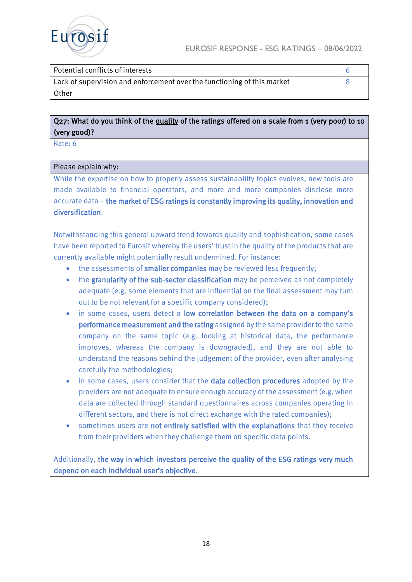

| Potential conflicts of interests                                        |  |
|-------------------------------------------------------------------------|--|
| Lack of supervision and enforcement over the functioning of this market |  |
| <b>Other</b>                                                            |  |

# Q27: What do you think of the quality of the ratings offered on a scale from 1 (very poor) to 10 (very good)?

Rate: 6

#### Please explain why:

While the expertise on how to properly assess sustainability topics evolves, new tools are made available to financial operators, and more and more companies disclose more accurate data – the market of ESG ratings is constantly improving its quality, innovation and diversification.

Notwithstanding this general upward trend towards quality and sophistication, some cases have been reported to Eurosif whereby the users' trust in the quality of the products that are currently available might potentially result undermined. For instance:

- the assessments of smaller companies may be reviewed less frequently;
- the granularity of the sub-sector classification may be perceived as not completely adequate (e.g. some elements that are influential on the final assessment may turn out to be not relevant for a specific company considered);
- in some cases, users detect a low correlation between the data on a company's performance measurement and the rating assigned by the same provider to the same company on the same topic (e.g. looking at historical data, the performance improves, whereas the company is downgraded), and they are not able to understand the reasons behind the judgement of the provider, even after analysing carefully the methodologies;
- in some cases, users consider that the data collection procedures adopted by the providers are not adequate to ensure enough accuracy of the assessment (e.g. when data are collected through standard questionnaires across companies operating in different sectors, and there is not direct exchange with the rated companies);
- sometimes users are not entirely satisfied with the explanations that they receive from their providers when they challenge them on specific data points.

Additionally, the way in which investors perceive the quality of the ESG ratings very much depend on each individual user's objective.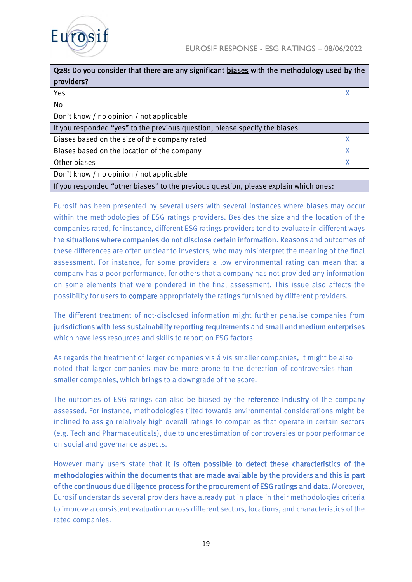

| Q28: Do you consider that there are any significant biases with the methodology used by the<br>providers? |   |
|-----------------------------------------------------------------------------------------------------------|---|
| Yes                                                                                                       |   |
| No                                                                                                        |   |
| Don't know / no opinion / not applicable                                                                  |   |
| If you responded "yes" to the previous question, please specify the biases                                |   |
| Biases based on the size of the company rated                                                             | Χ |
| Biases based on the location of the company                                                               | X |
| Other biases                                                                                              |   |
| Don't know / no opinion / not applicable                                                                  |   |
| If you responded "other biases" to the previous question, please explain which ones:                      |   |

Eurosif has been presented by several users with several instances where biases may occur within the methodologies of ESG ratings providers. Besides the size and the location of the companies rated, for instance, different ESG ratings providers tend to evaluate in different ways the situations where companies do not disclose certain information. Reasons and outcomes of these differences are often unclear to investors, who may misinterpret the meaning of the final assessment. For instance, for some providers a low environmental rating can mean that a company has a poor performance, for others that a company has not provided any information on some elements that were pondered in the final assessment. This issue also affects the possibility for users to compare appropriately the ratings furnished by different providers.

The different treatment of not-disclosed information might further penalise companies from jurisdictions with less sustainability reporting requirements and small and medium enterprises which have less resources and skills to report on ESG factors.

As regards the treatment of larger companies vis á vis smaller companies, it might be also noted that larger companies may be more prone to the detection of controversies than smaller companies, which brings to a downgrade of the score.

The outcomes of ESG ratings can also be biased by the **reference industry** of the company assessed. For instance, methodologies tilted towards environmental considerations might be inclined to assign relatively high overall ratings to companies that operate in certain sectors (e.g. Tech and Pharmaceuticals), due to underestimation of controversies or poor performance on social and governance aspects.

However many users state that it is often possible to detect these characteristics of the methodologies within the documents that are made available by the providers and this is part of the continuous due diligence process for the procurement of ESG ratings and data. Moreover, Eurosif understands several providers have already put in place in their methodologies criteria to improve a consistent evaluation across different sectors, locations, and characteristics of the rated companies.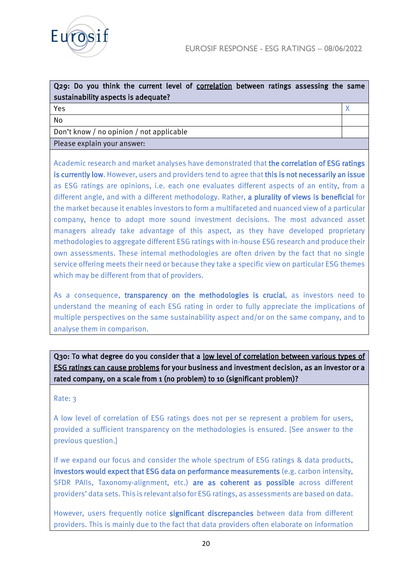

| Q29: Do you think the current level of correlation between ratings assessing the same<br>sustainability aspects is adequate? |  |
|------------------------------------------------------------------------------------------------------------------------------|--|
| Yes                                                                                                                          |  |
| No                                                                                                                           |  |
| Don't know / no opinion / not applicable                                                                                     |  |
| Please explain your answer:                                                                                                  |  |

Academic research and market analyses have demonstrated that the correlation of ESG ratings is currently low. However, users and providers tend to agree that this is not necessarily an issue as ESG ratings are opinions, i.e. each one evaluates different aspects of an entity, from a different angle, and with a different methodology. Rather, a plurality of views is beneficial for the market because it enables investors to form a multifaceted and nuanced view of a particular company, hence to adopt more sound investment decisions. The most advanced asset managers already take advantage of this aspect, as they have developed proprietary methodologies to aggregate different ESG ratings with in-house ESG research and produce their own assessments. These internal methodologies are often driven by the fact that no single service offering meets their need or because they take a specific view on particular ESG themes which may be different from that of providers.

As a consequence, transparency on the methodologies is crucial, as investors need to understand the meaning of each ESG rating in order to fully appreciate the implications of multiple perspectives on the same sustainability aspect and/or on the same company, and to analyse them in comparison.

Q30: To what degree do you consider that a low level of correlation between various types of ESG ratings can cause problems for your business and investment decision, as an investor or a rated company, on a scale from 1 (no problem) to 10 (significant problem)?

#### Rate: 3

A low level of correlation of ESG ratings does not per se represent a problem for users, provided a sufficient transparency on the methodologies is ensured. [See answer to the previous question.]

If we expand our focus and consider the whole spectrum of ESG ratings & data products, investors would expect that ESG data on performance measurements (e.g. carbon intensity, SFDR PAIIs, Taxonomy-alignment, etc.) are as coherent as possible across different providers' data sets. This is relevant also for ESG ratings, as assessments are based on data.

However, users frequently notice significant discrepancies between data from different providers. This is mainly due to the fact that data providers often elaborate on information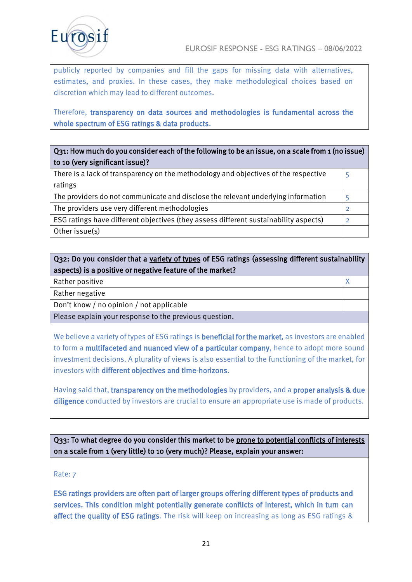

publicly reported by companies and fill the gaps for missing data with alternatives, estimates, and proxies. In these cases, they make methodological choices based on discretion which may lead to different outcomes.

Therefore, transparency on data sources and methodologies is fundamental across the whole spectrum of ESG ratings & data products.

# Q31: How much do you consider each of the following to be an issue, on a scale from 1 (no issue) to 10 (very significant issue)?

| There is a lack of transparency on the methodology and objectives of the respective  |  |
|--------------------------------------------------------------------------------------|--|
| ratings                                                                              |  |
| The providers do not communicate and disclose the relevant underlying information    |  |
| The providers use very different methodologies                                       |  |
| ESG ratings have different objectives (they assess different sustainability aspects) |  |
| Other issue(s)                                                                       |  |

| Q32: Do you consider that a variety of types of ESG ratings (assessing different sustainability |  |
|-------------------------------------------------------------------------------------------------|--|
| aspects) is a positive or negative feature of the market?                                       |  |
| Rather positive                                                                                 |  |
| Rather negative                                                                                 |  |
| Don't know / no opinion / not applicable                                                        |  |

Please explain your response to the previous question.

We believe a variety of types of ESG ratings is **beneficial for the market**, as investors are enabled to form a multifaceted and nuanced view of a particular company, hence to adopt more sound investment decisions. A plurality of views is also essential to the functioning of the market, for investors with different objectives and time-horizons.

Having said that, transparency on the methodologies by providers, and a proper analysis & due diligence conducted by investors are crucial to ensure an appropriate use is made of products.

Q33: To what degree do you consider this market to be prone to potential conflicts of interests on a scale from 1 (very little) to 10 (very much)? Please, explain your answer:

#### Rate: 7

ESG ratings providers are often part of larger groups offering different types of products and services. This condition might potentially generate conflicts of interest, which in turn can affect the quality of ESG ratings. The risk will keep on increasing as long as ESG ratings &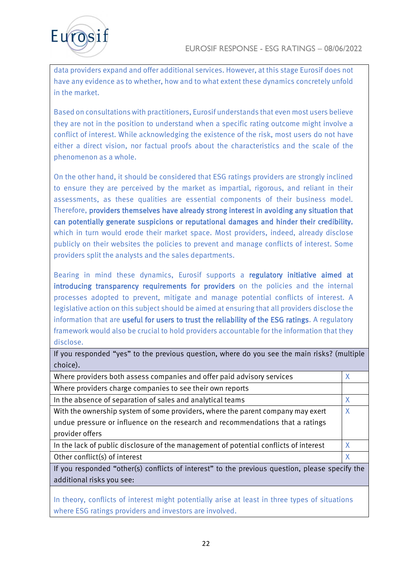

data providers expand and offer additional services. However, at this stage Eurosif does not have any evidence as to whether, how and to what extent these dynamics concretely unfold in the market.

Based on consultations with practitioners, Eurosif understands that even most users believe they are not in the position to understand when a specific rating outcome might involve a conflict of interest. While acknowledging the existence of the risk, most users do not have either a direct vision, nor factual proofs about the characteristics and the scale of the phenomenon as a whole.

On the other hand, it should be considered that ESG ratings providers are strongly inclined to ensure they are perceived by the market as impartial, rigorous, and reliant in their assessments, as these qualities are essential components of their business model. Therefore, providers themselves have already strong interest in avoiding any situation that can potentially generate suspicions or reputational damages and hinder their credibility, which in turn would erode their market space. Most providers, indeed, already disclose publicly on their websites the policies to prevent and manage conflicts of interest. Some providers split the analysts and the sales departments.

Bearing in mind these dynamics, Eurosif supports a regulatory initiative aimed at introducing transparency requirements for providers on the policies and the internal processes adopted to prevent, mitigate and manage potential conflicts of interest. A legislative action on this subject should be aimed at ensuring that all providers disclose the information that are useful for users to trust the reliability of the ESG ratings. A regulatory framework would also be crucial to hold providers accountable for the information that they disclose.

| choice).                                                                                       |   |
|------------------------------------------------------------------------------------------------|---|
| Where providers both assess companies and offer paid advisory services                         | X |
| Where providers charge companies to see their own reports                                      |   |
| In the absence of separation of sales and analytical teams                                     | Χ |
| With the ownership system of some providers, where the parent company may exert                | Χ |
| undue pressure or influence on the research and recommendations that a ratings                 |   |
| provider offers                                                                                |   |
| In the lack of public disclosure of the management of potential conflicts of interest          | X |
| Other conflict(s) of interest                                                                  | X |
| If you responded "other(s) conflicts of interest" to the previous question, please specify the |   |

If you responded "yes" to the previous question, where do you see the main risks? (multiple

additional risks you see:

In theory, conflicts of interest might potentially arise at least in three types of situations where ESG ratings providers and investors are involved.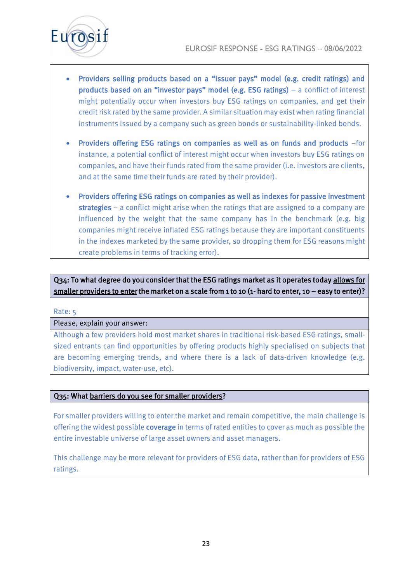

- Providers selling products based on a "issuer pays" model (e.g. credit ratings) and products based on an "investor pays" model (e.g. ESG ratings) – a conflict of interest might potentially occur when investors buy ESG ratings on companies, and get their credit risk rated by the same provider. A similar situation may exist when rating financial instruments issued by a company such as green bonds or sustainability-linked bonds.
- Providers offering ESG ratings on companies as well as on funds and products –for instance, a potential conflict of interest might occur when investors buy ESG ratings on companies, and have their funds rated from the same provider (i.e. investors are clients, and at the same time their funds are rated by their provider).
- Providers offering ESG ratings on companies as well as indexes for passive investment strategies – a conflict might arise when the ratings that are assigned to a company are influenced by the weight that the same company has in the benchmark (e.g. big companies might receive inflated ESG ratings because they are important constituents in the indexes marketed by the same provider, so dropping them for ESG reasons might create problems in terms of tracking error).

Q34: To what degree do you consider that the ESG ratings market as it operates today allows for smaller providers to enter the market on a scale from 1 to 10 (1- hard to enter, 10 – easy to enter)?

#### Rate: 5

#### Please, explain your answer:

Although a few providers hold most market shares in traditional risk-based ESG ratings, smallsized entrants can find opportunities by offering products highly specialised on subjects that are becoming emerging trends, and where there is a lack of data-driven knowledge (e.g. biodiversity, impact, water-use, etc).

#### Q35: What barriers do you see for smaller providers?

For smaller providers willing to enter the market and remain competitive, the main challenge is offering the widest possible coverage in terms of rated entities to cover as much as possible the entire investable universe of large asset owners and asset managers.

This challenge may be more relevant for providers of ESG data, rather than for providers of ESG ratings.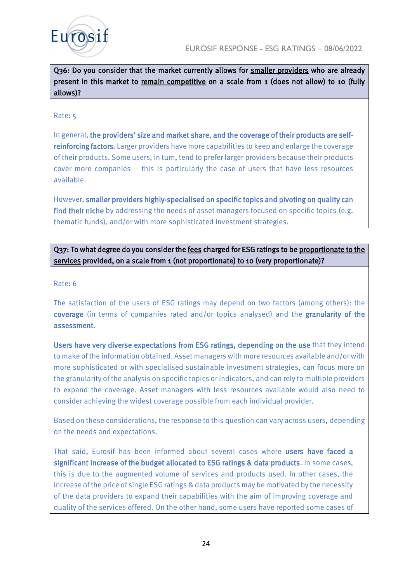



Q36: Do you consider that the market currently allows for smaller providers who are already present in this market to remain competitive on a scale from 1 (does not allow) to 10 (fully allows)?

#### Rate: 5

In general, the providers' size and market share, and the coverage of their products are selfreinforcing factors. Larger providers have more capabilities to keep and enlarge the coverage of their products. Some users, in turn, tend to prefer larger providers because their products cover more companies – this is particularly the case of users that have less resources available.

However, smaller providers highly-specialised on specific topics and pivoting on quality can find their niche by addressing the needs of asset managers focused on specific topics (e.g. thematic funds), and/or with more sophisticated investment strategies.

# Q37: To what degree do you consider the fees charged for ESG ratings to be proportionate to the services provided, on a scale from 1 (not proportionate) to 10 (very proportionate)?

#### Rate: 6

The satisfaction of the users of ESG ratings may depend on two factors (among others): the coverage (in terms of companies rated and/or topics analysed) and the granularity of the assessment.

Users have very diverse expectations from ESG ratings, depending on the use that they intend to make of the information obtained. Asset managers with more resources available and/or with more sophisticated or with specialised sustainable investment strategies, can focus more on the granularity of the analysis on specific topics or indicators, and can rely to multiple providers to expand the coverage. Asset managers with less resources available would also need to consider achieving the widest coverage possible from each individual provider.

Based on these considerations, the response to this question can vary across users, depending on the needs and expectations.

That said, Eurosif has been informed about several cases where users have faced a significant increase of the budget allocated to ESG ratings & data products. In some cases, this is due to the augmented volume of services and products used. In other cases, the increase of the price of single ESG ratings & data products may be motivated by the necessity of the data providers to expand their capabilities with the aim of improving coverage and quality of the services offered. On the other hand, some users have reported some cases of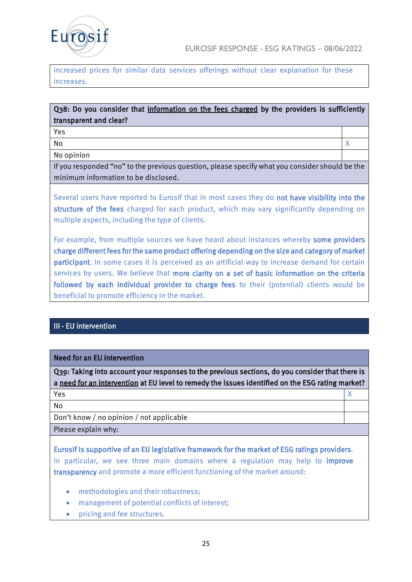

increased prices for similar data services offerings without clear explanation for these increases.

# Q38: Do you consider that information on the fees charged by the providers is sufficiently transparent and clear?

Yes

No and the set of the set of the set of the set of the set of the set of the set of the set of the set of the set of the set of the set of the set of the set of the set of the set of the set of the set of the set of the se

No opinion

If you responded "no" to the previous question, please specify what you consider should be the minimum information to be disclosed.

Several users have reported to Eurosif that in most cases they do not have visibility into the structure of the fees charged for each product, which may vary significantly depending on multiple aspects, including the type of clients.

For example, from multiple sources we have heard about instances whereby some providers charge different fees for the same product offering depending on the size and category of market participant. In some cases it is perceived as an artificial way to increase demand for certain services by users. We believe that more clarity on a set of basic information on the criteria followed by each individual provider to charge fees to their (potential) clients would be beneficial to promote efficiency in the market.

# III - EU intervention

## Need for an EU intervention

Q39: Taking into account your responses to the previous sections, do you consider that there is a need for an intervention at EU level to remedy the issues identified on the ESG rating market?  $Yes$  and  $X$ 

No

Don't know / no opinion / not applicable

Please explain why:

Eurosif is supportive of an EU legislative framework for the market of ESG ratings providers. In particular, we see three main domains where a regulation may help to *improve* transparency and promote a more efficient functioning of the market around:

- methodologies and their robustness:
- management of potential conflicts of interest;
- pricing and fee structures.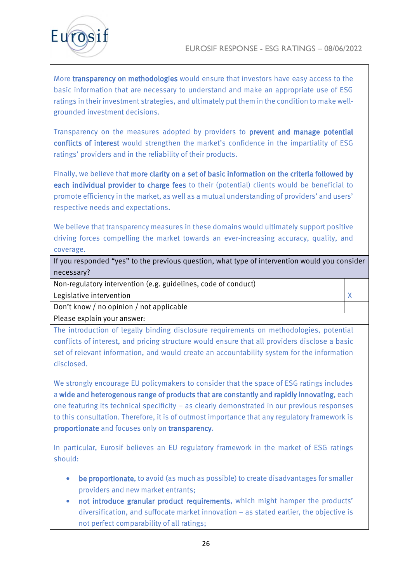

More transparency on methodologies would ensure that investors have easy access to the basic information that are necessary to understand and make an appropriate use of ESG ratings in their investment strategies, and ultimately put them in the condition to make wellgrounded investment decisions.

Transparency on the measures adopted by providers to prevent and manage potential conflicts of interest would strengthen the market's confidence in the impartiality of ESG ratings' providers and in the reliability of their products.

Finally, we believe that more clarity on a set of basic information on the criteria followed by each individual provider to charge fees to their (potential) clients would be beneficial to promote efficiency in the market, as well as a mutual understanding of providers' and users' respective needs and expectations.

We believe that transparency measures in these domains would ultimately support positive driving forces compelling the market towards an ever-increasing accuracy, quality, and coverage.

If you responded "yes" to the previous question, what type of intervention would you consider necessary?

Non-regulatory intervention (e.g. guidelines, code of conduct)

Legislative intervention **X** 

Don't know / no opinion / not applicable

Please explain your answer:

The introduction of legally binding disclosure requirements on methodologies, potential conflicts of interest, and pricing structure would ensure that all providers disclose a basic set of relevant information, and would create an accountability system for the information disclosed.

We strongly encourage EU policymakers to consider that the space of ESG ratings includes a wide and heterogenous range of products that are constantly and rapidly innovating, each one featuring its technical specificity – as clearly demonstrated in our previous responses to this consultation. Therefore, it is of outmost importance that any regulatory framework is proportionate and focuses only on transparency.

In particular, Eurosif believes an EU regulatory framework in the market of ESG ratings should:

- be proportionate, to avoid (as much as possible) to create disadvantages for smaller providers and new market entrants;
- not introduce granular product requirements, which might hamper the products' diversification, and suffocate market innovation – as stated earlier, the objective is not perfect comparability of all ratings;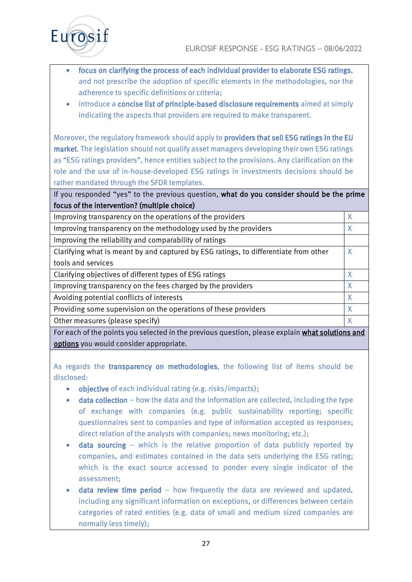

- focus on clarifying the process of each individual provider to elaborate ESG ratings, and not prescribe the adoption of specific elements in the methodologies, nor the adherence to specific definitions or criteria;
- introduce a concise list of principle-based disclosure requirements aimed at simply indicating the aspects that providers are required to make transparent.

Moreover, the regulatory framework should apply to providers that sell ESG ratings in the EU market. The legislation should not qualify asset managers developing their own ESG ratings as "ESG ratings providers", hence entities subject to the provisions. Any clarification on the role and the use of in-house-developed ESG ratings in investments decisions should be rather mandated through the SFDR templates.

If you responded "yes" to the previous question, what do you consider should be the prime focus of the intervention? (multiple choice)

Improving transparency on the operations of the providers  $X$ Improving transparency on the methodology used by the providers  $X$ Improving the reliability and comparability of ratings Clarifying what is meant by and captured by ESG ratings, to differentiate from other tools and services X Clarifying objectives of different types of ESG ratings  $X$ Improving transparency on the fees charged by the providers  $X$ Avoiding potential conflicts of interests X Providing some supervision on the operations of these providers  $X$ Other measures (please specify) Network and the set of the set of the set of the set of the set of the set of the set of the set of the set of the set of the set of the set of the set of the set of the set of the set of th

For each of the points you selected in the previous question, please explain what solutions and options you would consider appropriate.

As regards the transparency on methodologies, the following list of items should be disclosed:

- objective of each individual rating (e.g. risks/impacts);
- data collection how the data and the information are collected, including the type of exchange with companies (e.g. public sustainability reporting; specific questionnaires sent to companies and type of information accepted as responses; direct relation of the analysts with companies; news monitoring; etc.);
- **data sourcing** which is the relative proportion of data publicly reported by companies, and estimates contained in the data sets underlying the ESG rating; which is the exact source accessed to ponder every single indicator of the assessment;
- **data review time period** how frequently the data are reviewed and updated, including any significant information on exceptions, or differences between certain categories of rated entities (e.g. data of small and medium sized companies are normally less timely);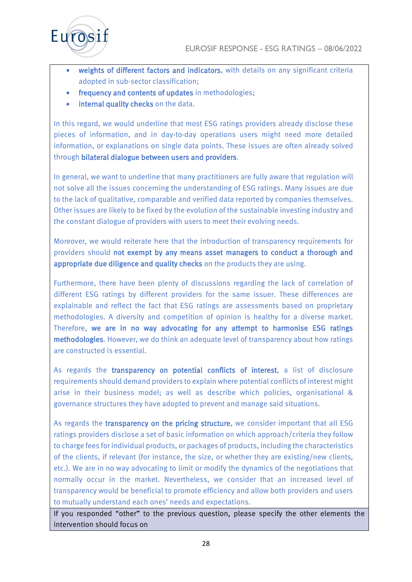

- weights of different factors and indicators, with details on any significant criteria adopted in sub-sector classification;
- frequency and contents of updates in methodologies;
- internal quality checks on the data.

In this regard, we would underline that most ESG ratings providers already disclose these pieces of information, and in day-to-day operations users might need more detailed information, or explanations on single data points. These issues are often already solved through bilateral dialogue between users and providers.

In general, we want to underline that many practitioners are fully aware that regulation will not solve all the issues concerning the understanding of ESG ratings. Many issues are due to the lack of qualitative, comparable and verified data reported by companies themselves. Other issues are likely to be fixed by the evolution of the sustainable investing industry and the constant dialogue of providers with users to meet their evolving needs.

Moreover, we would reiterate here that the introduction of transparency requirements for providers should not exempt by any means asset managers to conduct a thorough and appropriate due diligence and quality checks on the products they are using.

Furthermore, there have been plenty of discussions regarding the lack of correlation of different ESG ratings by different providers for the same issuer. These differences are explainable and reflect the fact that ESG ratings are assessments based on proprietary methodologies. A diversity and competition of opinion is healthy for a diverse market. Therefore, we are in no way advocating for any attempt to harmonise ESG ratings methodologies. However, we do think an adequate level of transparency about how ratings are constructed is essential.

As regards the transparency on potential conflicts of interest, a list of disclosure requirements should demand providers to explain where potential conflicts of interest might arise in their business model; as well as describe which policies, organisational & governance structures they have adopted to prevent and manage said situations.

As regards the **transparency on the pricing structure**, we consider important that all ESG ratings providers disclose a set of basic information on which approach/criteria they follow to charge fees for individual products, or packages of products, including the characteristics of the clients, if relevant (for instance, the size, or whether they are existing/new clients, etc.). We are in no way advocating to limit or modify the dynamics of the negotiations that normally occur in the market. Nevertheless, we consider that an increased level of transparency would be beneficial to promote efficiency and allow both providers and users to mutually understand each ones' needs and expectations.

If you responded "other" to the previous question, please specify the other elements the intervention should focus on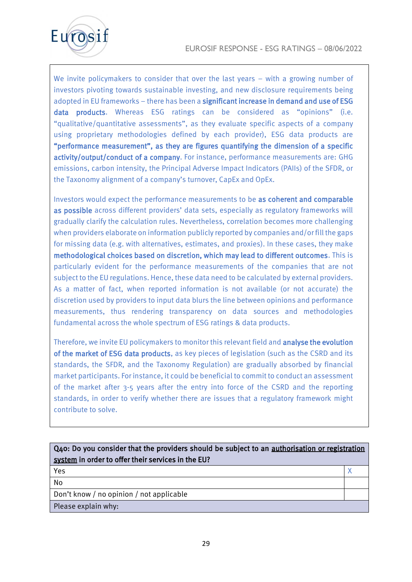

We invite policymakers to consider that over the last years – with a growing number of investors pivoting towards sustainable investing, and new disclosure requirements being adopted in EU frameworks – there has been a significant increase in demand and use of ESG data products. Whereas ESG ratings can be considered as "opinions" (i.e. "qualitative/quantitative assessments", as they evaluate specific aspects of a company using proprietary methodologies defined by each provider), ESG data products are "performance measurement", as they are figures quantifying the dimension of a specific activity/output/conduct of a company. For instance, performance measurements are: GHG emissions, carbon intensity, the Principal Adverse Impact Indicators (PAIIs) of the SFDR, or the Taxonomy alignment of a company's turnover, CapEx and OpEx.

Investors would expect the performance measurements to be as coherent and comparable as possible across different providers' data sets, especially as regulatory frameworks will gradually clarify the calculation rules. Nevertheless, correlation becomes more challenging when providers elaborate on information publicly reported by companies and/or fill the gaps for missing data (e.g. with alternatives, estimates, and proxies). In these cases, they make methodological choices based on discretion, which may lead to different outcomes. This is particularly evident for the performance measurements of the companies that are not subject to the EU regulations. Hence, these data need to be calculated by external providers. As a matter of fact, when reported information is not available (or not accurate) the discretion used by providers to input data blurs the line between opinions and performance measurements, thus rendering transparency on data sources and methodologies fundamental across the whole spectrum of ESG ratings & data products.

Therefore, we invite EU policymakers to monitor this relevant field and analyse the evolution of the market of ESG data products, as key pieces of legislation (such as the CSRD and its standards, the SFDR, and the Taxonomy Regulation) are gradually absorbed by financial market participants. For instance, it could be beneficial to commit to conduct an assessment of the market after 3-5 years after the entry into force of the CSRD and the reporting standards, in order to verify whether there are issues that a regulatory framework might contribute to solve.

Q40: Do you consider that the providers should be subject to an authorisation or registration system in order to offer their services in the EU?

 $Yes$  and  $X$ No

Don't know / no opinion / not applicable

Please explain why: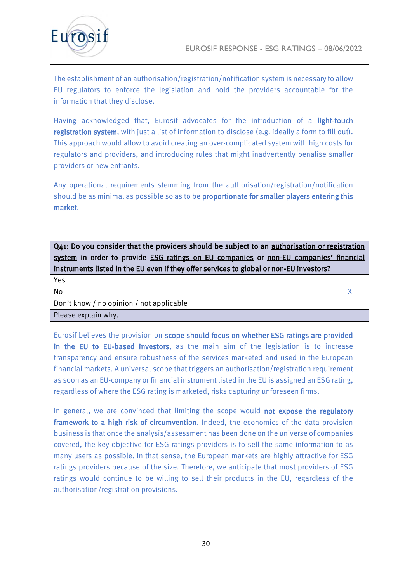



The establishment of an authorisation/registration/notification system is necessary to allow EU regulators to enforce the legislation and hold the providers accountable for the information that they disclose.

Having acknowledged that, Eurosif advocates for the introduction of a light-touch registration system, with just a list of information to disclose (e.g. ideally a form to fill out). This approach would allow to avoid creating an over-complicated system with high costs for regulators and providers, and introducing rules that might inadvertently penalise smaller providers or new entrants.

Any operational requirements stemming from the authorisation/registration/notification should be as minimal as possible so as to be proportionate for smaller players entering this market.

Q41: Do you consider that the providers should be subject to an authorisation or registration system in order to provide **ESG ratings on EU companies or non-EU companies' financial** instruments listed in the EU even if they offer services to global or non-EU investors?

No the contract of the contract of the contract of the contract of the contract of the contract of the contract of the contract of the contract of the contract of the contract of the contract of the contract of the contrac

Yes

Don't know / no opinion / not applicable

Please explain why.

Eurosif believes the provision on scope should focus on whether ESG ratings are provided in the EU to EU-based investors, as the main aim of the legislation is to increase transparency and ensure robustness of the services marketed and used in the European financial markets. A universal scope that triggers an authorisation/registration requirement as soon as an EU-company or financial instrument listed in the EU is assigned an ESG rating, regardless of where the ESG rating is marketed, risks capturing unforeseen firms.

In general, we are convinced that limiting the scope would not expose the regulatory framework to a high risk of circumvention. Indeed, the economics of the data provision business is that once the analysis/assessment has been done on the universe of companies covered, the key objective for ESG ratings providers is to sell the same information to as many users as possible. In that sense, the European markets are highly attractive for ESG ratings providers because of the size. Therefore, we anticipate that most providers of ESG ratings would continue to be willing to sell their products in the EU, regardless of the authorisation/registration provisions.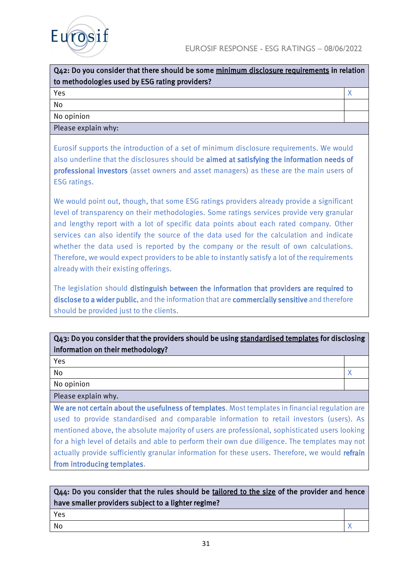



| Q42: Do you consider that there should be some minimum disclosure requirements in relation |  |
|--------------------------------------------------------------------------------------------|--|
| to methodologies used by ESG rating providers?                                             |  |
| Yes                                                                                        |  |

No No opinion

Please explain why:

Eurosif supports the introduction of a set of minimum disclosure requirements. We would also underline that the disclosures should be aimed at satisfying the information needs of professional investors (asset owners and asset managers) as these are the main users of ESG ratings.

We would point out, though, that some ESG ratings providers already provide a significant level of transparency on their methodologies. Some ratings services provide very granular and lengthy report with a lot of specific data points about each rated company. Other services can also identify the source of the data used for the calculation and indicate whether the data used is reported by the company or the result of own calculations. Therefore, we would expect providers to be able to instantly satisfy a lot of the requirements already with their existing offerings.

The legislation should distinguish between the information that providers are required to disclose to a wider public, and the information that are commercially sensitive and therefore should be provided just to the clients.

# Q43: Do you consider that the providers should be using standardised templates for disclosing information on their methodology?

Yes

No the contract of the contract of the contract of the contract of the contract of the contract of the contract of the contract of the contract of the contract of the contract of the contract of the contract of the contrac

No opinion

Please explain why.

We are not certain about the usefulness of templates. Most templates in financial regulation are used to provide standardised and comparable information to retail investors (users). As mentioned above, the absolute majority of users are professional, sophisticated users looking for a high level of details and able to perform their own due diligence. The templates may not actually provide sufficiently granular information for these users. Therefore, we would refrain from introducing templates.

| Q44: Do you consider that the rules should be tailored to the size of the provider and hence |  |
|----------------------------------------------------------------------------------------------|--|
| have smaller providers subject to a lighter regime?                                          |  |
| Yes                                                                                          |  |
| No                                                                                           |  |